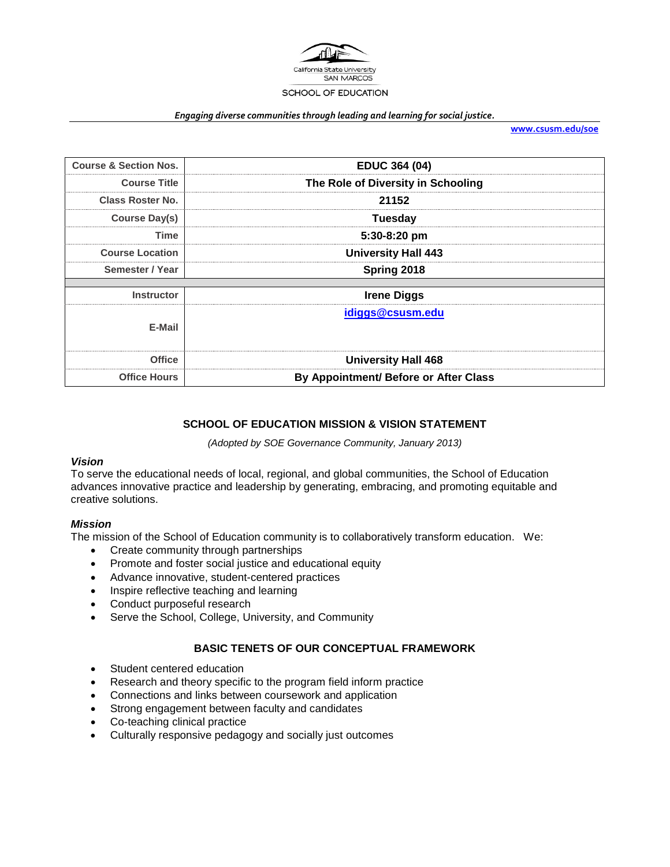

#### *Engaging diverse communities through leading and learning for social justice.*

**[www.csusm.edu/soe](http://www.csusm.edu/soe)**

| <b>Course &amp; Section Nos.</b> | <b>EDUC 364 (04)</b>                  |
|----------------------------------|---------------------------------------|
| <b>Course Title</b>              | The Role of Diversity in Schooling    |
| <b>Class Roster No.</b>          | 21152                                 |
| <b>Course Day(s)</b>             | <b>Tuesday</b>                        |
| Time                             | $5:30-8:20$ pm                        |
| <b>Course Location</b>           | <b>University Hall 443</b>            |
| Semester / Year                  | Spring 2018                           |
|                                  |                                       |
| <b>Instructor</b>                | <b>Irene Diggs</b>                    |
| E-Mail                           | idiggs@csusm.edu                      |
| <b>Office</b>                    | <b>University Hall 468</b>            |
| <b>Office Hours</b>              | By Appointment/ Before or After Class |

### **SCHOOL OF EDUCATION MISSION & VISION STATEMENT**

*(Adopted by SOE Governance Community, January 2013)*

#### *Vision*

To serve the educational needs of local, regional, and global communities, the School of Education advances innovative practice and leadership by generating, embracing, and promoting equitable and creative solutions.

#### *Mission*

The mission of the School of Education community is to collaboratively transform education. We:

- Create community through partnerships
- Promote and foster social justice and educational equity
- Advance innovative, student-centered practices
- Inspire reflective teaching and learning
- Conduct purposeful research
- Serve the School, College, University, and Community

#### **BASIC TENETS OF OUR CONCEPTUAL FRAMEWORK**

- Student centered education
- Research and theory specific to the program field inform practice
- Connections and links between coursework and application
- Strong engagement between faculty and candidates
- Co-teaching clinical practice
- Culturally responsive pedagogy and socially just outcomes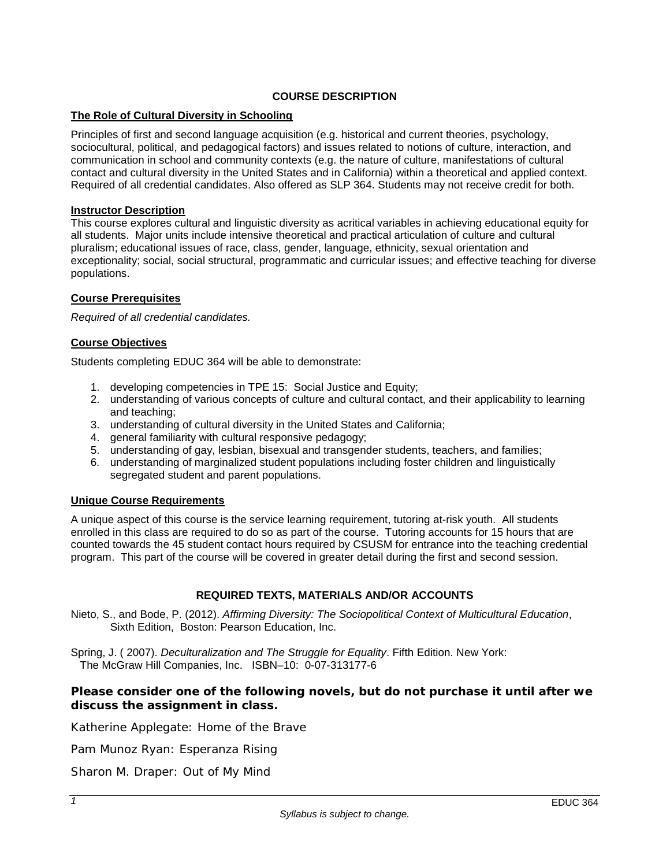## **COURSE DESCRIPTION**

## **The Role of Cultural Diversity in Schooling**

Principles of first and second language acquisition (e.g. historical and current theories, psychology, sociocultural, political, and pedagogical factors) and issues related to notions of culture, interaction, and communication in school and community contexts (e.g. the nature of culture, manifestations of cultural contact and cultural diversity in the United States and in California) within a theoretical and applied context. Required of all credential candidates. Also offered as SLP 364. Students may not receive credit for both.

#### **Instructor Description**

This course explores cultural and linguistic diversity as acritical variables in achieving educational equity for all students. Major units include intensive theoretical and practical articulation of culture and cultural pluralism; educational issues of race, class, gender, language, ethnicity, sexual orientation and exceptionality; social, social structural, programmatic and curricular issues; and effective teaching for diverse populations.

## **Course Prerequisites**

*Required of all credential candidates.*

## **Course Objectives**

Students completing EDUC 364 will be able to demonstrate:

- 1. developing competencies in TPE 15: Social Justice and Equity;
- 2. understanding of various concepts of culture and cultural contact, and their applicability to learning and teaching;
- 3. understanding of cultural diversity in the United States and California;
- 4. general familiarity with cultural responsive pedagogy;
- 5. understanding of gay, lesbian, bisexual and transgender students, teachers, and families;
- 6. understanding of marginalized student populations including foster children and linguistically segregated student and parent populations.

## **Unique Course Requirements**

A unique aspect of this course is the service learning requirement, tutoring at-risk youth. All students enrolled in this class are required to do so as part of the course. Tutoring accounts for 15 hours that are counted towards the 45 student contact hours required by CSUSM for entrance into the teaching credential program. This part of the course will be covered in greater detail during the first and second session.

## **REQUIRED TEXTS, MATERIALS AND/OR ACCOUNTS**

Nieto, S., and Bode, P. (2012). *Affirming Diversity: The Sociopolitical Context of Multicultural Education*, Sixth Edition, Boston: Pearson Education, Inc.

Spring, J. ( 2007). *Deculturalization and The Struggle for Equality*. Fifth Edition. New York: The McGraw Hill Companies, Inc. ISBN–10: 0-07-313177-6

## **Please consider one of the following novels, but do not purchase it until after we discuss the assignment in class.**

Katherine Applegate: *Home of the Brave*

Pam Munoz Ryan: *Esperanza Rising*

Sharon M. Draper: *Out of My Mind*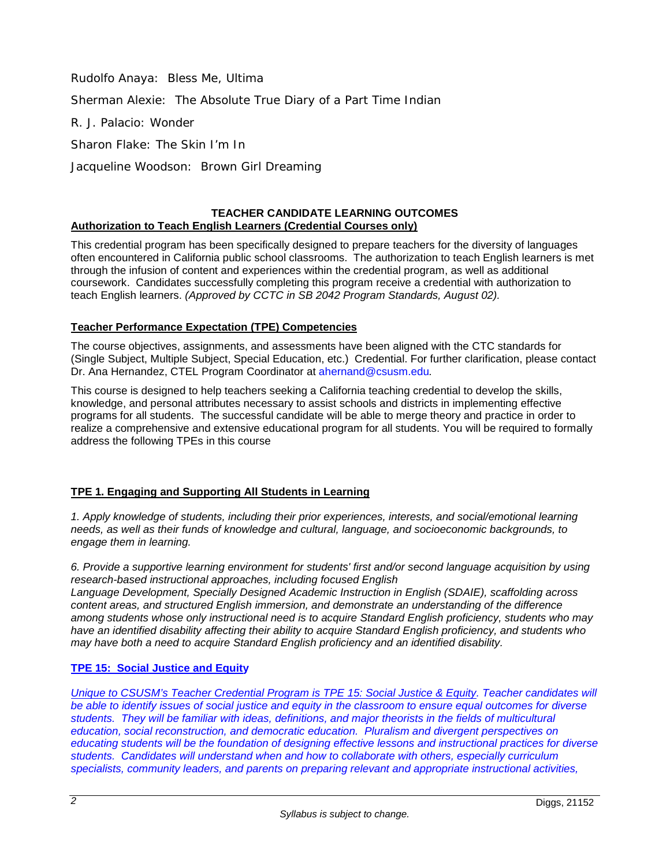Rudolfo Anaya: *Bless Me, Ultima* Sherman Alexie: *The Absolute True Diary of a Part Time Indian* R. J. Palacio: *Wonder* Sharon Flake: *The Skin I'm In*

Jacqueline Woodson*: Brown Girl Dreaming*

### **TEACHER CANDIDATE LEARNING OUTCOMES Authorization to Teach English Learners (Credential Courses only)**

This credential program has been specifically designed to prepare teachers for the diversity of languages often encountered in California public school classrooms. The authorization to teach English learners is met through the infusion of content and experiences within the credential program, as well as additional coursework. Candidates successfully completing this program receive a credential with authorization to teach English learners. *(Approved by CCTC in SB 2042 Program Standards, August 02).*

## **Teacher Performance Expectation (TPE) Competencies**

The course objectives, assignments, and assessments have been aligned with the CTC standards for (Single Subject, Multiple Subject, Special Education, etc.) Credential. For further clarification, please contact Dr. Ana Hernandez, CTEL Program Coordinator at [ahernand@csusm.edu](mailto:ahernand@csusm.edu)*.*

This course is designed to help teachers seeking a California teaching credential to develop the skills, knowledge, and personal attributes necessary to assist schools and districts in implementing effective programs for all students. The successful candidate will be able to merge theory and practice in order to realize a comprehensive and extensive educational program for all students. You will be required to formally address the following TPEs in this course

# **TPE 1. Engaging and Supporting All Students in Learning**

*1. Apply knowledge of students, including their prior experiences, interests, and social/emotional learning needs, as well as their funds of knowledge and cultural, language, and socioeconomic backgrounds, to engage them in learning.*

*6. Provide a supportive learning environment for students' first and/or second language acquisition by using research-based instructional approaches, including focused English*

*Language Development, Specially Designed Academic Instruction in English (SDAIE), scaffolding across content areas, and structured English immersion, and demonstrate an understanding of the difference among students whose only instructional need is to acquire Standard English proficiency, students who may have an identified disability affecting their ability to acquire Standard English proficiency, and students who may have both a need to acquire Standard English proficiency and an identified disability.*

## **TPE 15: Social Justice and Equity**

*Unique to CSUSM's Teacher Credential Program is TPE 15: Social Justice & Equity. Teacher candidates will be able to identify issues of social justice and equity in the classroom to ensure equal outcomes for diverse students. They will be familiar with ideas, definitions, and major theorists in the fields of multicultural education, social reconstruction, and democratic education. Pluralism and divergent perspectives on educating students will be the foundation of designing effective lessons and instructional practices for diverse students. Candidates will understand when and how to collaborate with others, especially curriculum specialists, community leaders, and parents on preparing relevant and appropriate instructional activities,*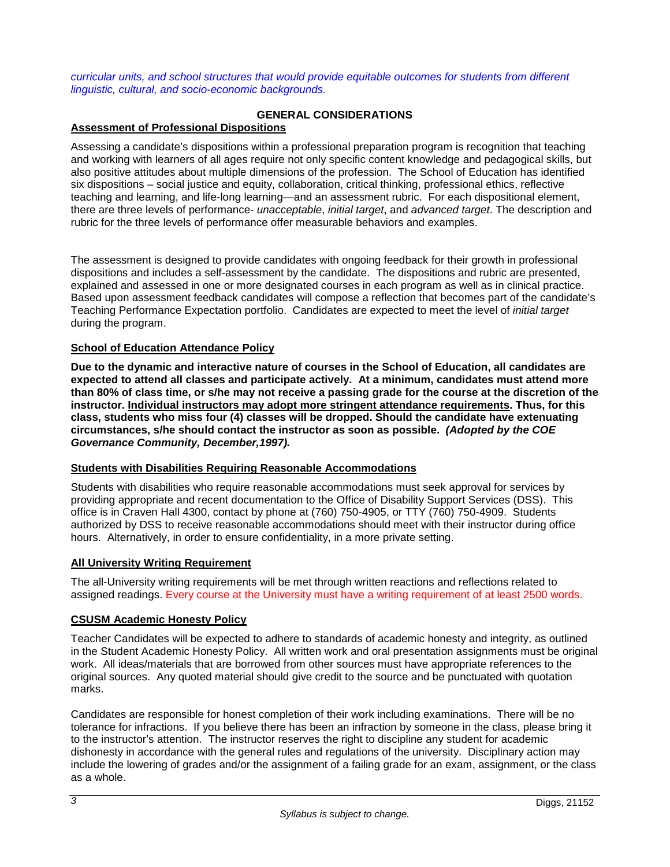*curricular units, and school structures that would provide equitable outcomes for students from different linguistic, cultural, and socio-economic backgrounds.*

## **GENERAL CONSIDERATIONS**

## **Assessment of Professional Dispositions**

Assessing a candidate's dispositions within a professional preparation program is recognition that teaching and working with learners of all ages require not only specific content knowledge and pedagogical skills, but also positive attitudes about multiple dimensions of the profession. The School of Education has identified six dispositions – social justice and equity, collaboration, critical thinking, professional ethics, reflective teaching and learning, and life-long learning—and an assessment rubric. For each dispositional element, there are three levels of performance- *unacceptable*, *initial target*, and *advanced target*. The description and rubric for the three levels of performance offer measurable behaviors and examples.

The assessment is designed to provide candidates with ongoing feedback for their growth in professional dispositions and includes a self-assessment by the candidate. The dispositions and rubric are presented, explained and assessed in one or more designated courses in each program as well as in clinical practice. Based upon assessment feedback candidates will compose a reflection that becomes part of the candidate's Teaching Performance Expectation portfolio. Candidates are expected to meet the level of *initial target* during the program.

### **School of Education Attendance Policy**

**Due to the dynamic and interactive nature of courses in the School of Education, all candidates are expected to attend all classes and participate actively. At a minimum, candidates must attend more than 80% of class time, or s/he may not receive a passing grade for the course at the discretion of the instructor. Individual instructors may adopt more stringent attendance requirements. Thus, for this class, students who miss four (4) classes will be dropped. Should the candidate have extenuating circumstances, s/he should contact the instructor as soon as possible.** *(Adopted by the COE Governance Community, December,1997).*

#### **Students with Disabilities Requiring Reasonable Accommodations**

Students with disabilities who require reasonable accommodations must seek approval for services by providing appropriate and recent documentation to the Office of Disability Support Services (DSS). This office is in Craven Hall 4300, contact by phone at (760) 750-4905, or TTY (760) 750-4909. Students authorized by DSS to receive reasonable accommodations should meet with their instructor during office hours. Alternatively, in order to ensure confidentiality, in a more private setting.

## **All University Writing Requirement**

The all-University writing requirements will be met through written reactions and reflections related to assigned readings. Every course at the University must have a writing requirement of at least 2500 words.

#### **CSUSM Academic Honesty Policy**

Teacher Candidates will be expected to adhere to standards of academic honesty and integrity, as outlined in the Student Academic Honesty Policy. All written work and oral presentation assignments must be original work. All ideas/materials that are borrowed from other sources must have appropriate references to the original sources. Any quoted material should give credit to the source and be punctuated with quotation marks.

Candidates are responsible for honest completion of their work including examinations. There will be no tolerance for infractions. If you believe there has been an infraction by someone in the class, please bring it to the instructor's attention. The instructor reserves the right to discipline any student for academic dishonesty in accordance with the general rules and regulations of the university. Disciplinary action may include the lowering of grades and/or the assignment of a failing grade for an exam, assignment, or the class as a whole.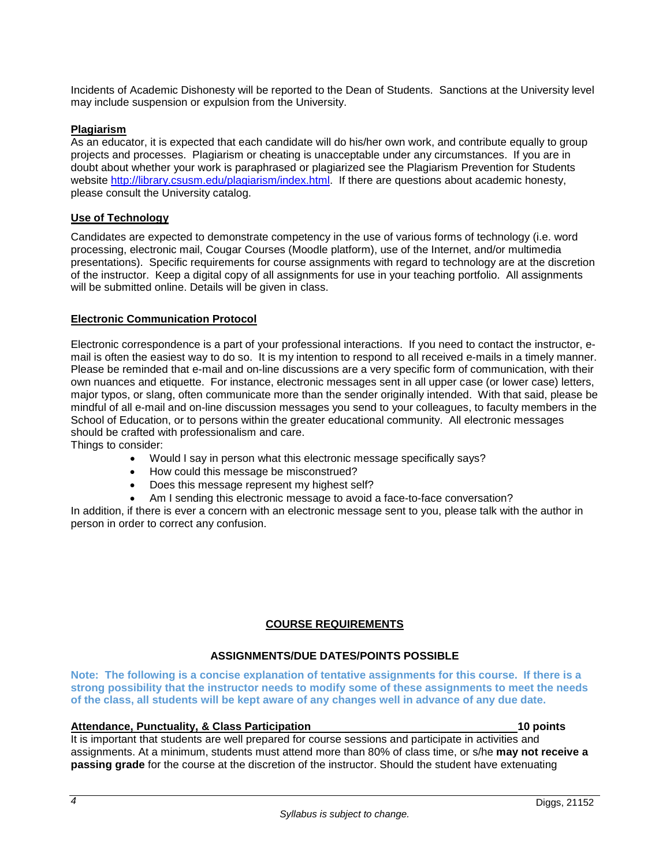Incidents of Academic Dishonesty will be reported to the Dean of Students. Sanctions at the University level may include suspension or expulsion from the University.

#### **Plagiarism**

As an educator, it is expected that each candidate will do his/her own work, and contribute equally to group projects and processes. Plagiarism or cheating is unacceptable under any circumstances. If you are in doubt about whether your work is paraphrased or plagiarized see the Plagiarism Prevention for Students website [http://library.csusm.edu/plagiarism/index.html.](http://library.csusm.edu/plagiarism/index.html) If there are questions about academic honesty, please consult the University catalog.

#### **Use of Technology**

Candidates are expected to demonstrate competency in the use of various forms of technology (i.e. word processing, electronic mail, Cougar Courses (Moodle platform), use of the Internet, and/or multimedia presentations). Specific requirements for course assignments with regard to technology are at the discretion of the instructor. Keep a digital copy of all assignments for use in your teaching portfolio. All assignments will be submitted online. Details will be given in class.

#### **Electronic Communication Protocol**

Electronic correspondence is a part of your professional interactions. If you need to contact the instructor, email is often the easiest way to do so. It is my intention to respond to all received e-mails in a timely manner. Please be reminded that e-mail and on-line discussions are a very specific form of communication, with their own nuances and etiquette. For instance, electronic messages sent in all upper case (or lower case) letters, major typos, or slang, often communicate more than the sender originally intended. With that said, please be mindful of all e-mail and on-line discussion messages you send to your colleagues, to faculty members in the School of Education, or to persons within the greater educational community. All electronic messages should be crafted with professionalism and care.

Things to consider:

- Would I say in person what this electronic message specifically says?
- How could this message be misconstrued?
- Does this message represent my highest self?
- Am I sending this electronic message to avoid a face-to-face conversation?

In addition, if there is ever a concern with an electronic message sent to you, please talk with the author in person in order to correct any confusion.

#### **COURSE REQUIREMENTS**

### **ASSIGNMENTS/DUE DATES/POINTS POSSIBLE**

**Note: The following is a concise explanation of tentative assignments for this course. If there is a strong possibility that the instructor needs to modify some of these assignments to meet the needs of the class, all students will be kept aware of any changes well in advance of any due date.**

#### **Attendance, Punctuality, & Class Participation 10 points**

It is important that students are well prepared for course sessions and participate in activities and assignments. At a minimum, students must attend more than 80% of class time, or s/he **may not receive a passing grade** for the course at the discretion of the instructor. Should the student have extenuating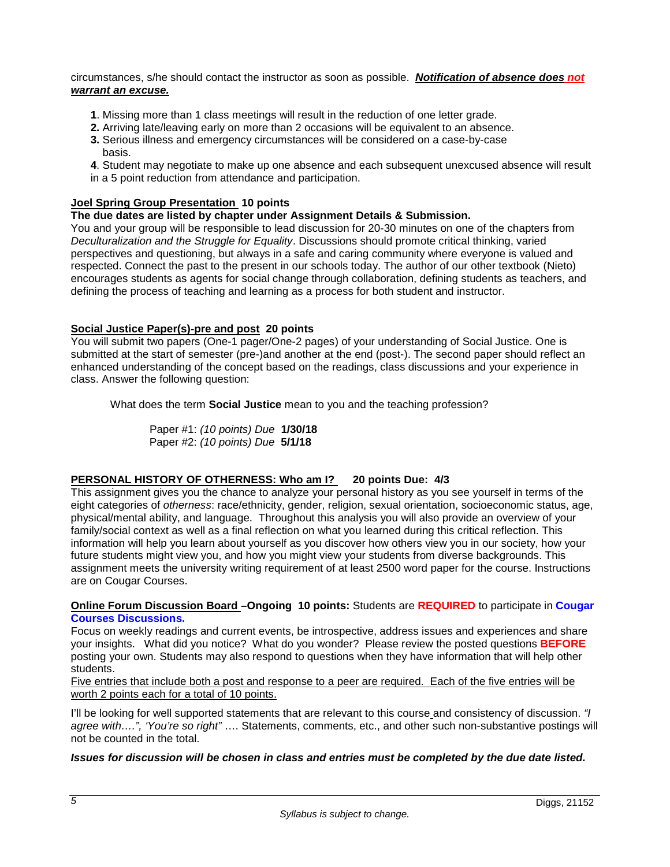circumstances, s/he should contact the instructor as soon as possible. *Notification of absence does not warrant an excuse.*

- **1**. Missing more than 1 class meetings will result in the reduction of one letter grade.
- **2.** Arriving late/leaving early on more than 2 occasions will be equivalent to an absence.
- **3.** Serious illness and emergency circumstances will be considered on a case-by-case basis.
- **4**. Student may negotiate to make up one absence and each subsequent unexcused absence will result
- in a 5 point reduction from attendance and participation.

## **Joel Spring Group Presentation 10 points**

### **The due dates are listed by chapter under Assignment Details & Submission.**

You and your group will be responsible to lead discussion for 20-30 minutes on one of the chapters from *Deculturalization and the Struggle for Equality*. Discussions should promote critical thinking, varied perspectives and questioning, but always in a safe and caring community where everyone is valued and respected. Connect the past to the present in our schools today. The author of our other textbook (Nieto) encourages students as agents for social change through collaboration, defining students as teachers, and defining the process of teaching and learning as a process for both student and instructor.

## **Social Justice Paper(s)-pre and post 20 points**

You will submit two papers (One-1 pager/One-2 pages) of your understanding of Social Justice. One is submitted at the start of semester (pre-)and another at the end (post-). The second paper should reflect an enhanced understanding of the concept based on the readings, class discussions and your experience in class. Answer the following question:

What does the term **Social Justice** mean to you and the teaching profession?

Paper #1: *(10 points) Due* **1/30/18** Paper #2: *(10 points) Due* **5/1/18**

## **PERSONAL HISTORY OF OTHERNESS: Who am I? 20 points Due: 4/3**

This assignment gives you the chance to analyze your personal history as you see yourself in terms of the eight categories of *otherness*: race/ethnicity, gender, religion, sexual orientation, socioeconomic status, age, physical/mental ability, and language. Throughout this analysis you will also provide an overview of your family/social context as well as a final reflection on what you learned during this critical reflection. This information will help you learn about yourself as you discover how others view you in our society, how your future students might view you, and how you might view your students from diverse backgrounds. This assignment meets the university writing requirement of at least 2500 word paper for the course. Instructions are on Cougar Courses.

**Online Forum Discussion Board –Ongoing 10 points:** Students are **REQUIRED** to participate in **Cougar Courses Discussions.** 

Focus on weekly readings and current events, be introspective, address issues and experiences and share your insights. What did you notice? What do you wonder? Please review the posted questions **BEFORE** posting your own. Students may also respond to questions when they have information that will help other students.

Five entries that include both a post and response to a peer are required. Each of the five entries will be worth 2 points each for a total of 10 points.

I'll be looking for well supported statements that are relevant to this course and consistency of discussion. *"I agree with….", 'You're so right"* …. Statements, comments, etc., and other such non-substantive postings will not be counted in the total.

#### *Issues for discussion will be chosen in class and entries must be completed by the due date listed.*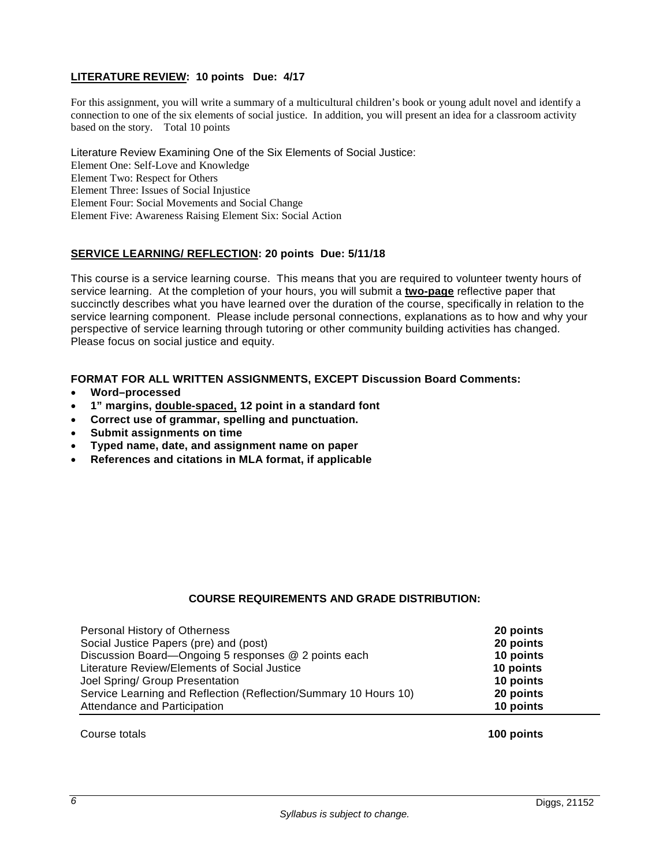## **LITERATURE REVIEW: 10 points Due: 4/17**

For this assignment, you will write a summary of a multicultural children's book or young adult novel and identify a connection to one of the six elements of social justice. In addition, you will present an idea for a classroom activity based on the story. Total 10 points

Literature Review Examining One of the Six Elements of Social Justice: Element One: Self-Love and Knowledge Element Two: Respect for Others Element Three: Issues of Social Injustice Element Four: Social Movements and Social Change Element Five: Awareness Raising Element Six: Social Action

## **SERVICE LEARNING/ REFLECTION: 20 points Due: 5/11/18**

This course is a service learning course. This means that you are required to volunteer twenty hours of service learning. At the completion of your hours, you will submit a **two-page** reflective paper that succinctly describes what you have learned over the duration of the course, specifically in relation to the service learning component. Please include personal connections, explanations as to how and why your perspective of service learning through tutoring or other community building activities has changed. Please focus on social justice and equity.

### **FORMAT FOR ALL WRITTEN ASSIGNMENTS, EXCEPT Discussion Board Comments:**

- **Word–processed**
- **1" margins, double-spaced, 12 point in a standard font**
- **Correct use of grammar, spelling and punctuation.**
- **Submit assignments on time**
- **Typed name, date, and assignment name on paper**
- **References and citations in MLA format, if applicable**

## **COURSE REQUIREMENTS AND GRADE DISTRIBUTION:**

| Personal History of Otherness                                    | 20 points |
|------------------------------------------------------------------|-----------|
| Social Justice Papers (pre) and (post)                           | 20 points |
| Discussion Board—Ongoing 5 responses @ 2 points each             | 10 points |
| Literature Review/Elements of Social Justice                     | 10 points |
| Joel Spring/ Group Presentation                                  | 10 points |
| Service Learning and Reflection (Reflection/Summary 10 Hours 10) | 20 points |
| Attendance and Participation                                     | 10 points |

Course totals **100 points**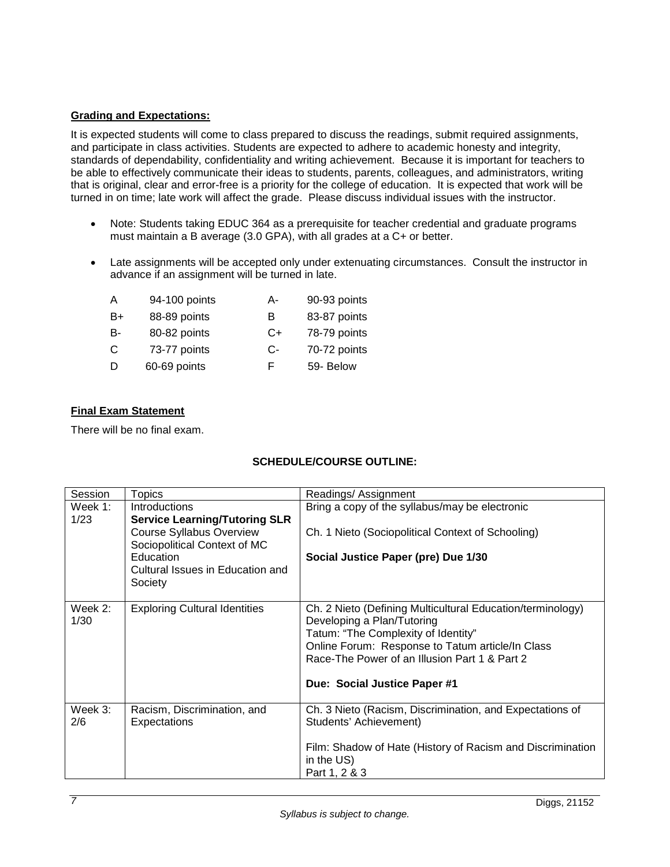## **Grading and Expectations:**

It is expected students will come to class prepared to discuss the readings, submit required assignments, and participate in class activities. Students are expected to adhere to academic honesty and integrity, standards of dependability, confidentiality and writing achievement. Because it is important for teachers to be able to effectively communicate their ideas to students, parents, colleagues, and administrators, writing that is original, clear and error-free is a priority for the college of education. It is expected that work will be turned in on time; late work will affect the grade. Please discuss individual issues with the instructor.

- Note: Students taking EDUC 364 as a prerequisite for teacher credential and graduate programs must maintain a B average (3.0 GPA), with all grades at a C+ or better.
- Late assignments will be accepted only under extenuating circumstances. Consult the instructor in advance if an assignment will be turned in late.

| A  | 94-100 points | А- | 90-93 points |
|----|---------------|----|--------------|
| B+ | 88-89 points  | в  | 83-87 points |
| B- | 80-82 points  | C+ | 78-79 points |
| C  | 73-77 points  | C- | 70-72 points |
| D  | 60-69 points  | F  | 59- Below    |

## **Final Exam Statement**

There will be no final exam.

# **SCHEDULE/COURSE OUTLINE:**

| Session | <b>Topics</b>                                                   | Readings/ Assignment                                       |
|---------|-----------------------------------------------------------------|------------------------------------------------------------|
| Week 1: | Introductions                                                   | Bring a copy of the syllabus/may be electronic             |
| 1/23    | <b>Service Learning/Tutoring SLR</b>                            |                                                            |
|         | <b>Course Syllabus Overview</b><br>Sociopolitical Context of MC | Ch. 1 Nieto (Sociopolitical Context of Schooling)          |
|         | Education                                                       | Social Justice Paper (pre) Due 1/30                        |
|         | Cultural Issues in Education and                                |                                                            |
|         | Society                                                         |                                                            |
| Week 2: | <b>Exploring Cultural Identities</b>                            | Ch. 2 Nieto (Defining Multicultural Education/terminology) |
| 1/30    |                                                                 | Developing a Plan/Tutoring                                 |
|         |                                                                 | Tatum: "The Complexity of Identity"                        |
|         |                                                                 | Online Forum: Response to Tatum article/In Class           |
|         |                                                                 | Race-The Power of an Illusion Part 1 & Part 2              |
|         |                                                                 | Due: Social Justice Paper #1                               |
|         |                                                                 |                                                            |
| Week 3: | Racism, Discrimination, and                                     | Ch. 3 Nieto (Racism, Discrimination, and Expectations of   |
| 2/6     | Expectations                                                    | Students' Achievement)                                     |
|         |                                                                 | Film: Shadow of Hate (History of Racism and Discrimination |
|         |                                                                 | in the US)                                                 |
|         |                                                                 | Part 1, 2 & 3                                              |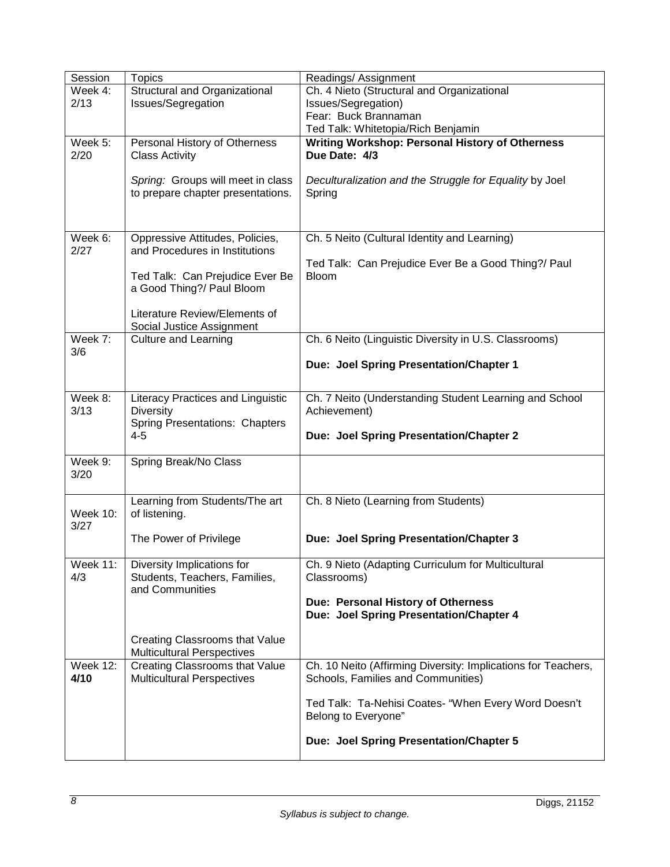| Session                 | <b>Topics</b>                                                       | Readings/ Assignment                                          |
|-------------------------|---------------------------------------------------------------------|---------------------------------------------------------------|
| Week 4:                 | Structural and Organizational                                       | Ch. 4 Nieto (Structural and Organizational                    |
| 2/13                    | Issues/Segregation                                                  | Issues/Segregation)                                           |
|                         |                                                                     | Fear: Buck Brannaman                                          |
|                         |                                                                     | Ted Talk: Whitetopia/Rich Benjamin                            |
| Week 5:                 | Personal History of Otherness                                       | <b>Writing Workshop: Personal History of Otherness</b>        |
| 2/20                    | <b>Class Activity</b>                                               | Due Date: 4/3                                                 |
|                         |                                                                     |                                                               |
|                         | Spring: Groups will meet in class                                   | Deculturalization and the Struggle for Equality by Joel       |
|                         | to prepare chapter presentations.                                   | Spring                                                        |
|                         |                                                                     |                                                               |
|                         |                                                                     |                                                               |
| Week 6:                 | Oppressive Attitudes, Policies,                                     | Ch. 5 Neito (Cultural Identity and Learning)                  |
| 2/27                    | and Procedures in Institutions                                      |                                                               |
|                         |                                                                     | Ted Talk: Can Prejudice Ever Be a Good Thing?/ Paul           |
|                         | Ted Talk: Can Prejudice Ever Be                                     | <b>Bloom</b>                                                  |
|                         | a Good Thing?/ Paul Bloom                                           |                                                               |
|                         | Literature Review/Elements of                                       |                                                               |
|                         | Social Justice Assignment                                           |                                                               |
| Week 7:                 | <b>Culture and Learning</b>                                         | Ch. 6 Neito (Linguistic Diversity in U.S. Classrooms)         |
| 3/6                     |                                                                     |                                                               |
|                         |                                                                     | Due: Joel Spring Presentation/Chapter 1                       |
|                         |                                                                     |                                                               |
| Week 8:                 | Literacy Practices and Linguistic                                   | Ch. 7 Neito (Understanding Student Learning and School        |
| 3/13                    | <b>Diversity</b>                                                    | Achievement)                                                  |
|                         | Spring Presentations: Chapters                                      |                                                               |
|                         | $4 - 5$                                                             | Due: Joel Spring Presentation/Chapter 2                       |
|                         |                                                                     |                                                               |
| Week 9:                 | Spring Break/No Class                                               |                                                               |
| 3/20                    |                                                                     |                                                               |
|                         |                                                                     |                                                               |
|                         | Learning from Students/The art                                      | Ch. 8 Nieto (Learning from Students)                          |
| <b>Week 10:</b><br>3/27 | of listening.                                                       |                                                               |
|                         | The Power of Privilege                                              | Due: Joel Spring Presentation/Chapter 3                       |
|                         |                                                                     |                                                               |
| <b>Week 11:</b>         | Diversity Implications for                                          | Ch. 9 Nieto (Adapting Curriculum for Multicultural            |
| 4/3                     | Students, Teachers, Families,                                       | Classrooms)                                                   |
|                         | and Communities                                                     |                                                               |
|                         |                                                                     | Due: Personal History of Otherness                            |
|                         |                                                                     | Due: Joel Spring Presentation/Chapter 4                       |
|                         |                                                                     |                                                               |
|                         | Creating Classrooms that Value<br><b>Multicultural Perspectives</b> |                                                               |
| <b>Week 12:</b>         | <b>Creating Classrooms that Value</b>                               | Ch. 10 Neito (Affirming Diversity: Implications for Teachers, |
| 4/10                    | <b>Multicultural Perspectives</b>                                   | Schools, Families and Communities)                            |
|                         |                                                                     |                                                               |
|                         |                                                                     | Ted Talk: Ta-Nehisi Coates- "When Every Word Doesn't          |
|                         |                                                                     | Belong to Everyone"                                           |
|                         |                                                                     |                                                               |
|                         |                                                                     | Due: Joel Spring Presentation/Chapter 5                       |
|                         |                                                                     |                                                               |